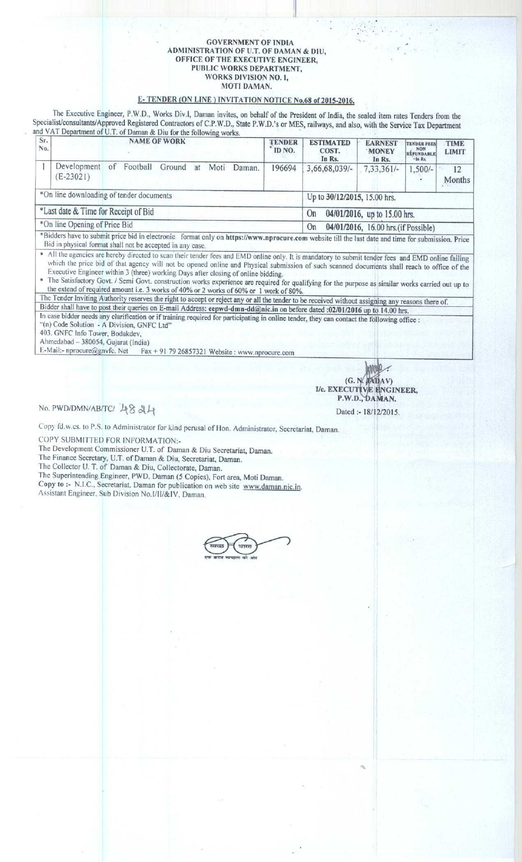#### GOVERNMENT OF INDIA ADMINISTRATION OF U.T. **OF DAMAN & DIU,** OFFICE OFTLIE EXECUTIVE **ENGINEER,** PUBLIC WORKS DEPARTMENT, WORKS DIVISION NO. 1, MOTI DAMAN.

I **I**

# E- TENDER (ON LINE) INVITATION NOTICE **No.68 of 2015-2016** .

The Executive Engineer, P.W.D., Works Div.t, Daman invites, on behalf of **the President** of India, **the sealed** item rates Tenders from the Specialist/**consultants**/Approved **Registered** Contractors of C.P.W.D., State P.W.D.'s or MES, railways, **and also**, with the Service **Tax Department** and VAT Department of U.T. of Daman & Diu for the following works.<br> **Sr.** 

| Sr.<br>No.                               |                                                                                                                                                                            |    |          | <b>NAME OF WORK</b> |    |      |        | <b>TENDER</b><br>ID NO.                   | <b>ESTIMATED</b><br>COST.<br>In Rs.                                                                                                                                                                                                                                                                                                                                                                                                                              | <b>EARNEST</b><br><b>MONEY</b><br>In Rs. | <b>TENDER FEES</b><br><b>NON</b><br>REFUNDABLE<br>$-$ In Rs. | <b>TIME</b><br><b>LIMIT</b> |  |  |
|------------------------------------------|----------------------------------------------------------------------------------------------------------------------------------------------------------------------------|----|----------|---------------------|----|------|--------|-------------------------------------------|------------------------------------------------------------------------------------------------------------------------------------------------------------------------------------------------------------------------------------------------------------------------------------------------------------------------------------------------------------------------------------------------------------------------------------------------------------------|------------------------------------------|--------------------------------------------------------------|-----------------------------|--|--|
|                                          | Development<br>$(E-23021)$                                                                                                                                                 | of | Football | Ground              | at | Moti | Daman. | 196694                                    | 3,66,68,039/-                                                                                                                                                                                                                                                                                                                                                                                                                                                    | 7,33,361/4                               | $1,500/-$                                                    | 12<br>Months                |  |  |
| *On line downloading of tender documents |                                                                                                                                                                            |    |          |                     |    |      |        |                                           | Up to 30/12/2015, 15.00 hrs.                                                                                                                                                                                                                                                                                                                                                                                                                                     |                                          |                                                              |                             |  |  |
| *Last date & Time for Receipt of Bid     |                                                                                                                                                                            |    |          |                     |    |      |        | 04/01/2016, up to 15.00 hrs.<br><b>On</b> |                                                                                                                                                                                                                                                                                                                                                                                                                                                                  |                                          |                                                              |                             |  |  |
| *On line Opening of Price Bid            |                                                                                                                                                                            |    |          |                     |    |      |        |                                           | On<br>04/01/2016, 16.00 hrs.(if Possible)                                                                                                                                                                                                                                                                                                                                                                                                                        |                                          |                                                              |                             |  |  |
|                                          | Bid in physical format shall not be accepted in any case.                                                                                                                  |    |          |                     |    |      |        |                                           | *Bidders have to submit price bid in electronic format only on https://www.nprocure.com website till the last date and time for submission. Price                                                                                                                                                                                                                                                                                                                |                                          |                                                              |                             |  |  |
|                                          | Executive Engineer within 3 (three) working Days after closing of online bidding.<br>the extend of required amount i.e. 3 works of 40% or 2 works of 60% or 1 work of 80%. |    |          |                     |    |      |        |                                           | All the agencies are hereby directed to scan their tender fees and EMD online only. It is mandatory to submit tender fees and EMD online failing<br>which the price bid of that agency will not be opened online and Physical submission of such scanned documents shall reach to office of the<br><sup>a</sup> The Satisfactory Govt. / Semi Govt. construction works experience are required for qualifying for the purpose as similar works carried out up to |                                          |                                                              |                             |  |  |
|                                          |                                                                                                                                                                            |    |          |                     |    |      |        |                                           | The Tender Inviting Authority reserves the right to accept or reject any or all the tender to be received without assigning any reasons there of.                                                                                                                                                                                                                                                                                                                |                                          |                                                              |                             |  |  |
|                                          |                                                                                                                                                                            |    |          |                     |    |      |        |                                           | Bidder shall have to post their queries on E-mail Address: eepwd-dmn-dd@nic.in on before dated :02/01/2016 up to 14.00 hrs.                                                                                                                                                                                                                                                                                                                                      |                                          |                                                              |                             |  |  |
|                                          | "(n) Code Solution - A Division, GNFC Ltd"<br>403. GNFC Info Tower, Bodakdev,<br>Ahmedabad - 380054. Gujarat (India)                                                       |    |          |                     |    |      |        |                                           | In case bidder needs any clarification or if training required for participating in online tender, they can contact the following office :                                                                                                                                                                                                                                                                                                                       |                                          |                                                              |                             |  |  |
|                                          |                                                                                                                                                                            |    |          |                     |    |      |        |                                           |                                                                                                                                                                                                                                                                                                                                                                                                                                                                  |                                          |                                                              |                             |  |  |

 $E-Mail: n procure @gnvfc. Net Fax + 91 79 26857321 \nWebsite : www.nprocure.com)$ 

(G. I/c. EXECU P.W.D.; AV) NGINEER, AN.

**No. PWD/DMN/AB/TC/ 4824** 

Dated :- 18/12/2015.

Copy **fd.w.cs**. **to P.S. to Administrator for kind perusal of lion** . **Administrator, Secretariat**, **Daman.**

COPY SUBMITTED FOR INFORMATION:-

**The Development Commissioner** U.T. of **Daman & Diu Secretariat**, **Daman.**

**The Finance Secretary. U** .**T. of Daman** & **Diu, Secretariat**, **Daman.**

The Collector U. T. of **Daman** & **Diu, Collectorate**, **Daman.**

**The Superintending Engineer, PWD** , **Daman** ( **5 Copies**), **Fort area**, **Moti Daman.**

**Copy to :- N.I.C**.. **Secretariat** , **Daman for publication on web site www** . **daman**. **nic.in.** Assistant **Engineer, Sub Division No** . **I/II/&IV, Daman.**